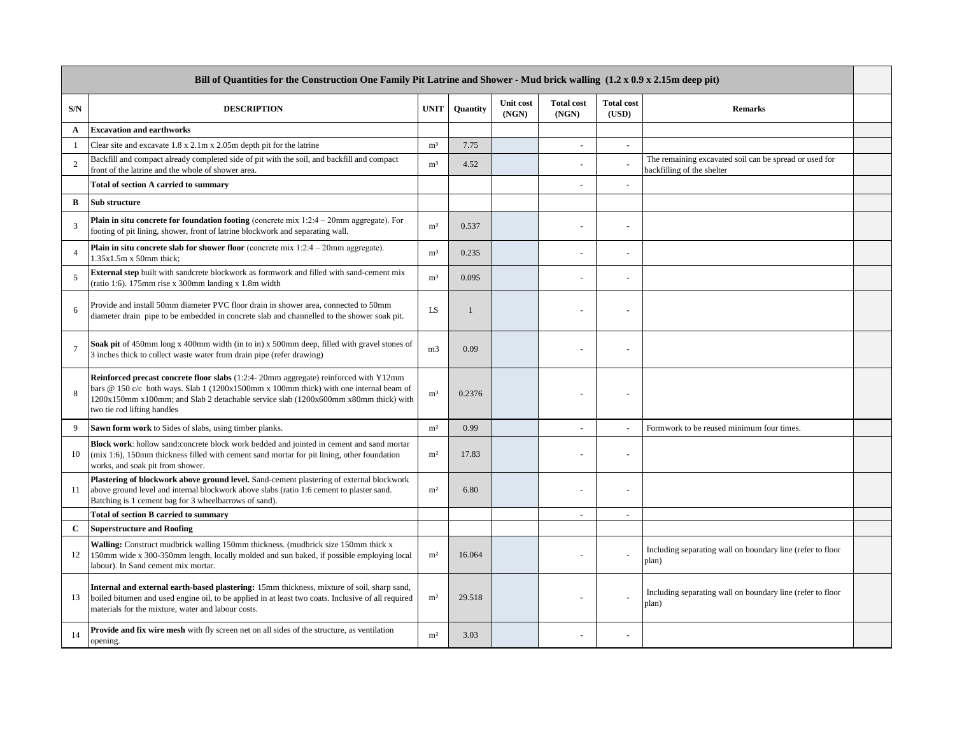| Bill of Quantities for the Construction One Family Pit Latrine and Shower - Mud brick walling (1.2 x 0.9 x 2.15m deep pit) |                                                                                                                                                                                                                                                                                                             |                |              |                    |                            |                            |                                                                                      |  |
|----------------------------------------------------------------------------------------------------------------------------|-------------------------------------------------------------------------------------------------------------------------------------------------------------------------------------------------------------------------------------------------------------------------------------------------------------|----------------|--------------|--------------------|----------------------------|----------------------------|--------------------------------------------------------------------------------------|--|
| S/N                                                                                                                        | <b>DESCRIPTION</b>                                                                                                                                                                                                                                                                                          | <b>UNIT</b>    | Quantity     | Unit cost<br>(NGN) | <b>Total cost</b><br>(NGN) | <b>Total cost</b><br>(USD) | <b>Remarks</b>                                                                       |  |
| A                                                                                                                          | <b>Excavation and earthworks</b>                                                                                                                                                                                                                                                                            |                |              |                    |                            |                            |                                                                                      |  |
| $\mathbf{1}$                                                                                                               | Clear site and excavate $1.8 \times 2.1$ m x $2.05$ m depth pit for the latrine                                                                                                                                                                                                                             | m <sup>3</sup> | 7.75         |                    | $\sim$                     |                            |                                                                                      |  |
| 2                                                                                                                          | Backfill and compact already completed side of pit with the soil, and backfill and compact<br>front of the latrine and the whole of shower area.                                                                                                                                                            | m <sup>3</sup> | 4.52         |                    |                            |                            | The remaining excavated soil can be spread or used for<br>backfilling of the shelter |  |
|                                                                                                                            | <b>Total of section A carried to summary</b>                                                                                                                                                                                                                                                                |                |              |                    |                            |                            |                                                                                      |  |
| B                                                                                                                          | <b>Sub structure</b>                                                                                                                                                                                                                                                                                        |                |              |                    |                            |                            |                                                                                      |  |
| 3                                                                                                                          | <b>Plain in situ concrete for foundation footing</b> (concrete mix $1:2:4-20$ mm aggregate). For<br>footing of pit lining, shower, front of latrine blockwork and separating wall.                                                                                                                          | m <sup>3</sup> | 0.537        |                    |                            |                            |                                                                                      |  |
| $\Delta$                                                                                                                   | <b>Plain in situ concrete slab for shower floor</b> (concrete mix $1:2:4-20$ mm aggregate).<br>$1.35x1.5m x 50mm$ thick:                                                                                                                                                                                    | m <sup>3</sup> | 0.235        |                    |                            |                            |                                                                                      |  |
| 5                                                                                                                          | <b>External step</b> built with sandcrete blockwork as formwork and filled with sand-cement mix<br>(ratio 1:6). 175mm rise x 300mm landing x 1.8m width                                                                                                                                                     | m <sup>3</sup> | 0.095        |                    |                            |                            |                                                                                      |  |
| 6                                                                                                                          | Provide and install 50mm diameter PVC floor drain in shower area, connected to 50mm<br>diameter drain pipe to be embedded in concrete slab and channelled to the shower soak pit.                                                                                                                           | LS             | $\mathbf{1}$ |                    |                            |                            |                                                                                      |  |
| $\overline{7}$                                                                                                             | Soak pit of 450mm long x 400mm width (in to in) x 500mm deep, filled with gravel stones of<br>3 inches thick to collect waste water from drain pipe (refer drawing)                                                                                                                                         | m <sub>3</sub> | 0.09         |                    |                            |                            |                                                                                      |  |
| $\mathbf{8}$                                                                                                               | <b>Reinforced precast concrete floor slabs</b> (1:2:4-20mm aggregate) reinforced with Y12mm<br>bars @ 150 c/c both ways. Slab 1 (1200x1500mm x 100mm thick) with one internal beam of<br>1200x150mm x100mm; and Slab 2 detachable service slab (1200x600mm x80mm thick) with<br>two tie rod lifting handles | m <sup>3</sup> | 0.2376       |                    |                            |                            |                                                                                      |  |
| 9                                                                                                                          | Sawn form work to Sides of slabs, using timber planks.                                                                                                                                                                                                                                                      | m <sup>2</sup> | 0.99         |                    |                            |                            | Formwork to be reused minimum four times.                                            |  |
| 10                                                                                                                         | Block work: hollow sand:concrete block work bedded and jointed in cement and sand mortar<br>(mix 1:6), 150mm thickness filled with cement sand mortar for pit lining, other foundation<br>works, and soak pit from shower.                                                                                  | m <sup>2</sup> | 17.83        |                    |                            |                            |                                                                                      |  |
| 11                                                                                                                         | Plastering of blockwork above ground level. Sand-cement plastering of external blockwork<br>above ground level and internal blockwork above slabs (ratio 1:6 cement to plaster sand.<br>Batching is 1 cement bag for 3 wheelbarrows of sand).                                                               | m <sup>2</sup> | 6.80         |                    |                            |                            |                                                                                      |  |
|                                                                                                                            | <b>Total of section B carried to summary</b>                                                                                                                                                                                                                                                                |                |              |                    | $\overline{\phantom{a}}$   | $\sim$                     |                                                                                      |  |
| $\mathbf C$                                                                                                                | <b>Superstructure and Roofing</b>                                                                                                                                                                                                                                                                           |                |              |                    |                            |                            |                                                                                      |  |
| 12                                                                                                                         | Walling: Construct mudbrick walling 150mm thickness. (mudbrick size 150mm thick x<br>150mm wide x 300-350mm length, locally molded and sun baked, if possible employing local<br>labour). In Sand cement mix mortar.                                                                                        | m <sup>2</sup> | 16.064       |                    |                            |                            | Including separating wall on boundary line (refer to floor<br>plan)                  |  |
| 13                                                                                                                         | Internal and external earth-based plastering: 15mm thickness, mixture of soil, sharp sand,<br>boiled bitumen and used engine oil, to be applied in at least two coats. Inclusive of all required<br>materials for the mixture, water and labour costs.                                                      | m <sup>2</sup> | 29.518       |                    |                            |                            | Including separating wall on boundary line (refer to floor<br>plan)                  |  |
| 14                                                                                                                         | Provide and fix wire mesh with fly screen net on all sides of the structure, as ventilation<br>opening.                                                                                                                                                                                                     | m <sup>2</sup> | 3.03         |                    |                            |                            |                                                                                      |  |